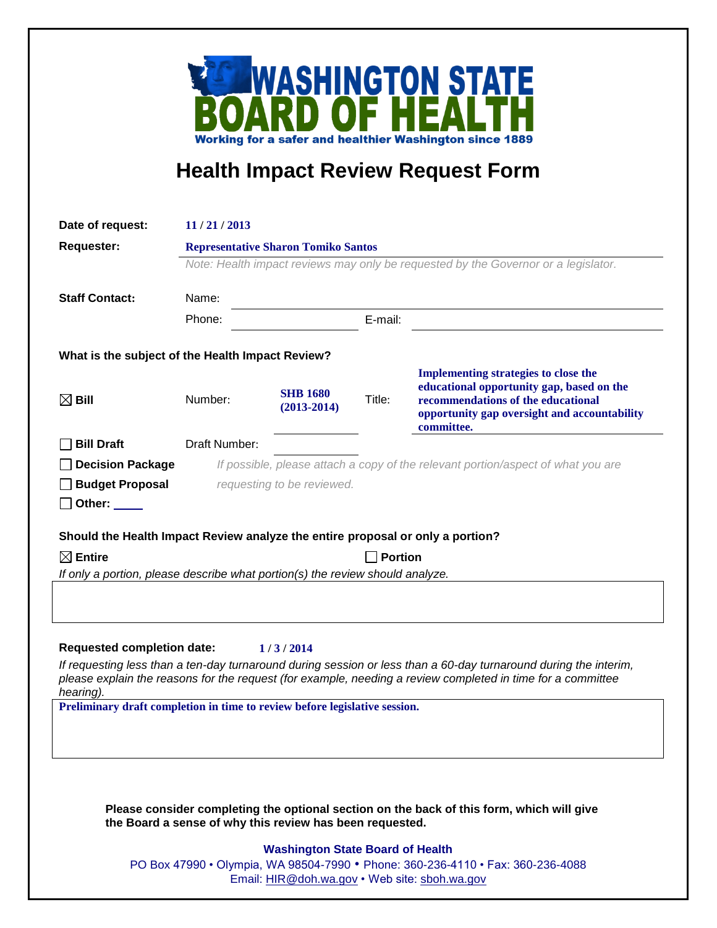

## **Health Impact Review Request Form**

| Date of request:                                                               | 11/21/2013                                                                         |                                    |         |                                                                                                                                                                                              |  |
|--------------------------------------------------------------------------------|------------------------------------------------------------------------------------|------------------------------------|---------|----------------------------------------------------------------------------------------------------------------------------------------------------------------------------------------------|--|
| <b>Requester:</b>                                                              | <b>Representative Sharon Tomiko Santos</b>                                         |                                    |         |                                                                                                                                                                                              |  |
|                                                                                | Note: Health impact reviews may only be requested by the Governor or a legislator. |                                    |         |                                                                                                                                                                                              |  |
|                                                                                | Name:                                                                              |                                    |         |                                                                                                                                                                                              |  |
| <b>Staff Contact:</b>                                                          |                                                                                    |                                    |         |                                                                                                                                                                                              |  |
|                                                                                | Phone:                                                                             |                                    | E-mail: |                                                                                                                                                                                              |  |
| What is the subject of the Health Impact Review?                               |                                                                                    |                                    |         |                                                                                                                                                                                              |  |
| $\boxtimes$ Bill                                                               | Number:                                                                            | <b>SHB 1680</b><br>$(2013 - 2014)$ | Title:  | <b>Implementing strategies to close the</b><br>educational opportunity gap, based on the<br>recommendations of the educational<br>opportunity gap oversight and accountability<br>committee. |  |
| <b>Bill Draft</b>                                                              | Draft Number:                                                                      |                                    |         |                                                                                                                                                                                              |  |
| <b>Decision Package</b>                                                        | If possible, please attach a copy of the relevant portion/aspect of what you are   |                                    |         |                                                                                                                                                                                              |  |
| <b>Budget Proposal</b>                                                         | requesting to be reviewed.                                                         |                                    |         |                                                                                                                                                                                              |  |
| Other: $\_\_$                                                                  |                                                                                    |                                    |         |                                                                                                                                                                                              |  |
| Should the Health Impact Review analyze the entire proposal or only a portion? |                                                                                    |                                    |         |                                                                                                                                                                                              |  |
| $\boxtimes$ Entire                                                             | <b>Portion</b>                                                                     |                                    |         |                                                                                                                                                                                              |  |
| If only a portion, please describe what portion(s) the review should analyze.  |                                                                                    |                                    |         |                                                                                                                                                                                              |  |
| <b>Requested completion date:</b>                                              |                                                                                    | 1/3/2014                           |         | If requesting less than a ten-day turnaround during session or less than a 60-day turnaround during the interim,                                                                             |  |
| hearing).                                                                      |                                                                                    |                                    |         | please explain the reasons for the request (for example, needing a review completed in time for a committee                                                                                  |  |
| Preliminary draft completion in time to review before legislative session.     |                                                                                    |                                    |         |                                                                                                                                                                                              |  |
|                                                                                | the Board a sense of why this review has been requested.                           |                                    |         | Please consider completing the optional section on the back of this form, which will give                                                                                                    |  |

## **Washington State Board of Health**

PO Box 47990 • Olympia, WA 98504-7990 • Phone: 360-236-4110 • Fax: 360-236-4088 Email: [HIR@doh.wa.gov](mailto:HIR@doh.wa.gov) • Web site: [sboh.wa.gov](http://www.sboh.wa.gov/hdcouncil/)